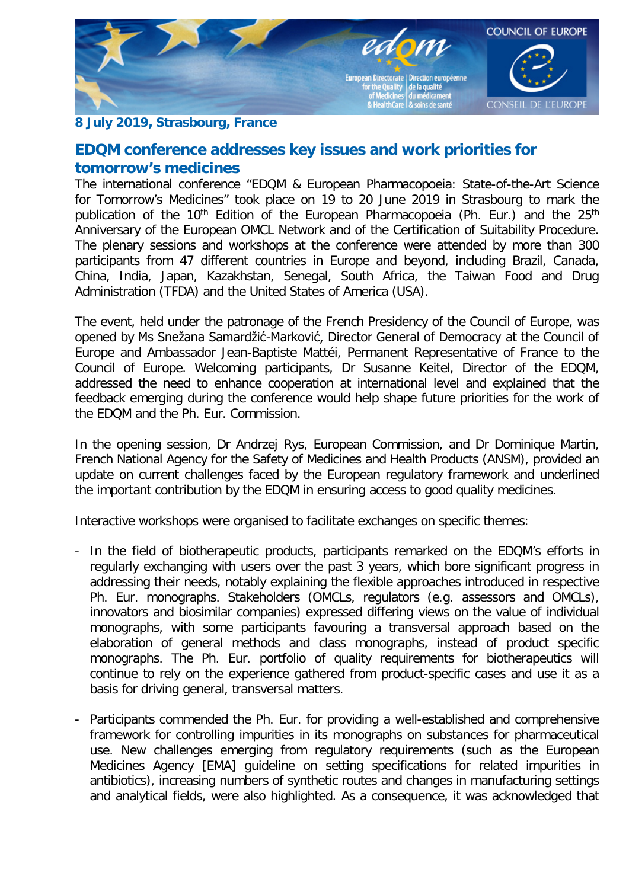

## **8 July 2019, Strasbourg, France**

## **EDQM conference addresses key issues and work priorities for tomorrow's medicines**

The international conference "EDQM & European Pharmacopoeia: State-of-the-Art Science for Tomorrow's Medicines" took place on 19 to 20 June 2019 in Strasbourg to mark the publication of the 10<sup>th</sup> Edition of the European Pharmacopoeia (Ph. Eur.) and the 25<sup>th</sup> Anniversary of the European OMCL Network and of the Certification of Suitability Procedure. The plenary sessions and workshops at the conference were attended by more than 300 participants from 47 different countries in Europe and beyond, including Brazil, Canada, China, India, Japan, Kazakhstan, Senegal, South Africa, the Taiwan Food and Drug Administration (TFDA) and the United States of America (USA).

The event, held under the patronage of the French Presidency of the Council of Europe, was opened by Ms Snežana Samardžić-Marković, Director General of Democracy at the Council of Europe and Ambassador Jean-Baptiste Mattéi, Permanent Representative of France to the Council of Europe. Welcoming participants, Dr Susanne Keitel, Director of the EDQM, addressed the need to enhance cooperation at international level and explained that the feedback emerging during the conference would help shape future priorities for the work of the EDQM and the Ph. Eur. Commission.

In the opening session, Dr Andrzej Rys, European Commission, and Dr Dominique Martin, French National Agency for the Safety of Medicines and Health Products (ANSM), provided an update on current challenges faced by the European regulatory framework and underlined the important contribution by the EDQM in ensuring access to good quality medicines.

Interactive workshops were organised to facilitate exchanges on specific themes:

- In the field of biotherapeutic products, participants remarked on the EDQM's efforts in regularly exchanging with users over the past 3 years, which bore significant progress in addressing their needs, notably explaining the flexible approaches introduced in respective Ph. Eur. monographs. Stakeholders (OMCLs, regulators (e.g. assessors and OMCLs), innovators and biosimilar companies) expressed differing views on the value of individual monographs, with some participants favouring a transversal approach based on the elaboration of general methods and class monographs, instead of product specific monographs. The Ph. Eur. portfolio of quality requirements for biotherapeutics will continue to rely on the experience gathered from product-specific cases and use it as a basis for driving general, transversal matters.
- Participants commended the Ph. Eur. for providing a well-established and comprehensive framework for controlling impurities in its monographs on substances for pharmaceutical use. New challenges emerging from regulatory requirements (such as the European Medicines Agency [EMA] guideline on setting specifications for related impurities in antibiotics), increasing numbers of synthetic routes and changes in manufacturing settings and analytical fields, were also highlighted. As a consequence, it was acknowledged that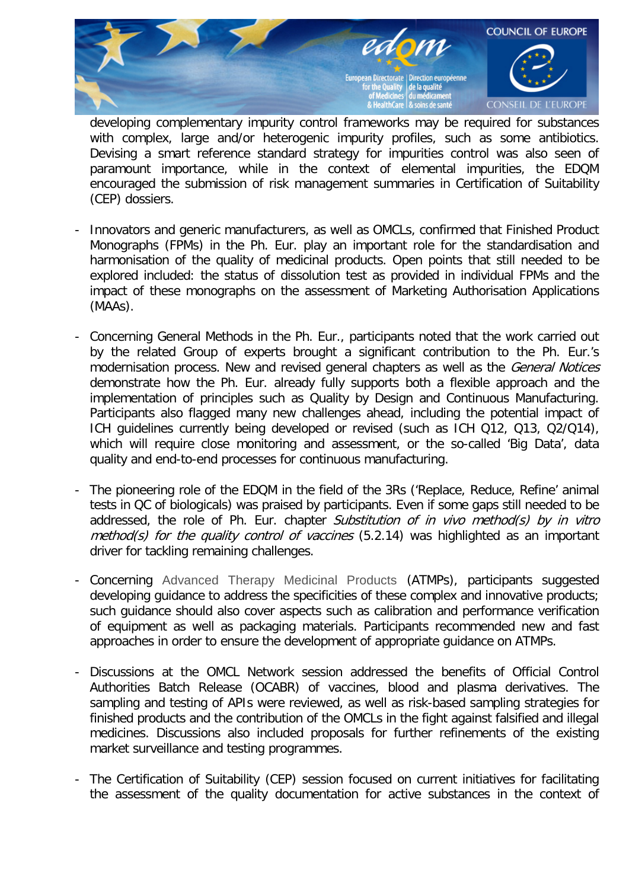

developing complementary impurity control frameworks may be required for substances with complex, large and/or heterogenic impurity profiles, such as some antibiotics. Devising a smart reference standard strategy for impurities control was also seen of paramount importance, while in the context of elemental impurities, the EDQM encouraged the submission of risk management summaries in Certification of Suitability (CEP) dossiers.

- Innovators and generic manufacturers, as well as OMCLs, confirmed that Finished Product Monographs (FPMs) in the Ph. Eur. play an important role for the standardisation and harmonisation of the quality of medicinal products. Open points that still needed to be explored included: the status of dissolution test as provided in individual FPMs and the impact of these monographs on the assessment of Marketing Authorisation Applications (MAAs).
- Concerning General Methods in the Ph. Eur., participants noted that the work carried out by the related Group of experts brought a significant contribution to the Ph. Eur.'s modernisation process. New and revised general chapters as well as the *General Notices* demonstrate how the Ph. Eur. already fully supports both a flexible approach and the implementation of principles such as Quality by Design and Continuous Manufacturing. Participants also flagged many new challenges ahead, including the potential impact of ICH guidelines currently being developed or revised (such as ICH Q12, Q13, Q2/Q14), which will require close monitoring and assessment, or the so-called 'Big Data', data quality and end-to-end processes for continuous manufacturing.
- The pioneering role of the EDQM in the field of the 3Rs ('Replace, Reduce, Refine' animal tests in QC of biologicals) was praised by participants. Even if some gaps still needed to be addressed, the role of Ph. Eur. chapter Substitution of in vivo method(s) by in vitro  $method(s)$  for the quality control of vaccines  $(5.2.14)$  was highlighted as an important driver for tackling remaining challenges.
- Concerning Advanced Therapy Medicinal Products (ATMPs), participants suggested developing guidance to address the specificities of these complex and innovative products; such guidance should also cover aspects such as calibration and performance verification of equipment as well as packaging materials. Participants recommended new and fast approaches in order to ensure the development of appropriate guidance on ATMPs.
- Discussions at the OMCL Network session addressed the benefits of Official Control Authorities Batch Release (OCABR) of vaccines, blood and plasma derivatives. The sampling and testing of APIs were reviewed, as well as risk-based sampling strategies for finished products and the contribution of the OMCLs in the fight against falsified and illegal medicines. Discussions also included proposals for further refinements of the existing market surveillance and testing programmes.
- The Certification of Suitability (CEP) session focused on current initiatives for facilitating the assessment of the quality documentation for active substances in the context of